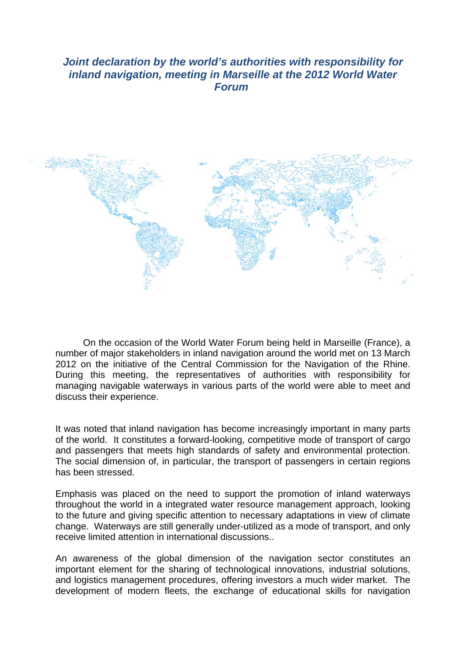## *Joint declaration by the world's authorities with responsibility for inland navigation, meeting in Marseille at the 2012 World Water Forum*



On the occasion of the World Water Forum being held in Marseille (France), a number of major stakeholders in inland navigation around the world met on 13 March 2012 on the initiative of the Central Commission for the Navigation of the Rhine. During this meeting, the representatives of authorities with responsibility for managing navigable waterways in various parts of the world were able to meet and discuss their experience.

It was noted that inland navigation has become increasingly important in many parts of the world. It constitutes a forward-looking, competitive mode of transport of cargo and passengers that meets high standards of safety and environmental protection. The social dimension of, in particular, the transport of passengers in certain regions has been stressed.

Emphasis was placed on the need to support the promotion of inland waterways throughout the world in a integrated water resource management approach, looking to the future and giving specific attention to necessary adaptations in view of climate change. Waterways are still generally under-utilized as a mode of transport, and only receive limited attention in international discussions..

An awareness of the global dimension of the navigation sector constitutes an important element for the sharing of technological innovations, industrial solutions, and logistics management procedures, offering investors a much wider market. The development of modern fleets, the exchange of educational skills for navigation